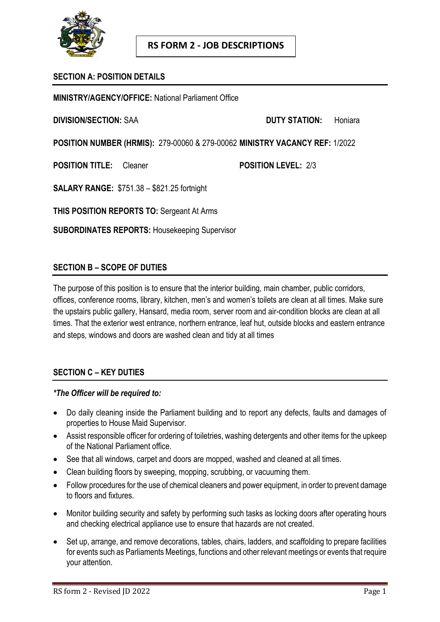

## **SECTION A: POSITION DETAILS**

**MINISTRY/AGENCY/OFFICE:** National Parliament Office

**DIVISION/SECTION:** SAA **DUTY STATION:** Honiara

**POSITION NUMBER (HRMIS):** 279-00060 & 279-00062 **MINISTRY VACANCY REF:** 1/2022

**POSITION TITLE:** Cleaner **POSITION LEVEL:** 2/3

**SALARY RANGE:** \$751.38 – \$821.25 fortnight

**THIS POSITION REPORTS TO:** Sergeant At Arms

**SUBORDINATES REPORTS:** Housekeeping Supervisor

## **SECTION B – SCOPE OF DUTIES**

The purpose of this position is to ensure that the interior building, main chamber, public corridors, offices, conference rooms, library, kitchen, men's and women's toilets are clean at all times. Make sure the upstairs public gallery, Hansard, media room, server room and air-condition blocks are clean at all times. That the exterior west entrance, northern entrance, leaf hut, outside blocks and eastern entrance and steps, windows and doors are washed clean and tidy at all times

### **SECTION C – KEY DUTIES**

#### *\*The Officer will be required to:*

- Do daily cleaning inside the Parliament building and to report any defects, faults and damages of properties to House Maid Supervisor.
- Assist responsible officer for ordering of toiletries, washing detergents and other items for the upkeep of the National Parliament office.
- See that all windows, carpet and doors are mopped, washed and cleaned at all times.
- Clean building floors by sweeping, mopping, scrubbing, or vacuuming them.
- Follow procedures for the use of chemical cleaners and power equipment, in order to prevent damage to floors and fixtures.
- Monitor building security and safety by performing such tasks as locking doors after operating hours and checking electrical appliance use to ensure that hazards are not created.
- Set up, arrange, and remove decorations, tables, chairs, ladders, and scaffolding to prepare facilities for events such as Parliaments Meetings, functions and other relevant meetings or events that require your attention.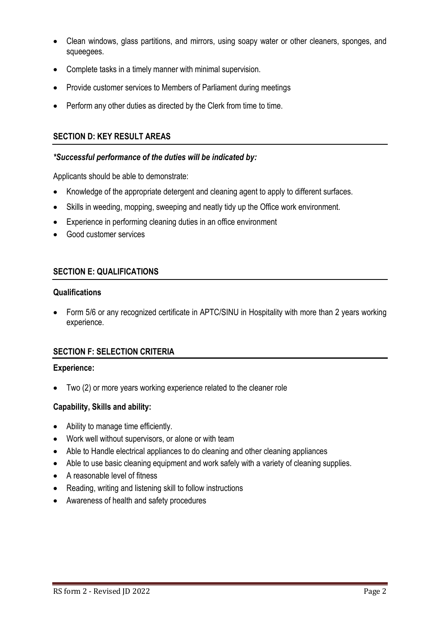- Clean windows, glass partitions, and mirrors, using soapy water or other cleaners, sponges, and squeegees.
- Complete tasks in a timely manner with minimal supervision.
- Provide customer services to Members of Parliament during meetings
- Perform any other duties as directed by the Clerk from time to time.

## **SECTION D: KEY RESULT AREAS**

### *\*Successful performance of the duties will be indicated by:*

Applicants should be able to demonstrate:

- Knowledge of the appropriate detergent and cleaning agent to apply to different surfaces.
- Skills in weeding, mopping, sweeping and neatly tidy up the Office work environment.
- Experience in performing cleaning duties in an office environment
- Good customer services

### **SECTION E: QUALIFICATIONS**

#### **Qualifications**

 Form 5/6 or any recognized certificate in APTC/SINU in Hospitality with more than 2 years working experience.

## **SECTION F: SELECTION CRITERIA**

#### **Experience:**

Two (2) or more years working experience related to the cleaner role

### **Capability, Skills and ability:**

- Ability to manage time efficiently.
- Work well without supervisors, or alone or with team
- Able to Handle electrical appliances to do cleaning and other cleaning appliances
- Able to use basic cleaning equipment and work safely with a variety of cleaning supplies.
- A reasonable level of fitness
- Reading, writing and listening skill to follow instructions
- Awareness of health and safety procedures